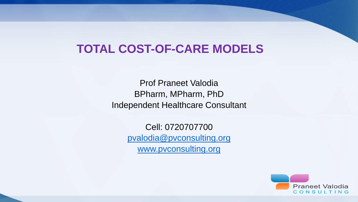#### **TOTAL COST-OF-CARE MODELS**

Prof Praneet Valodia BPharm, MPharm, PhD Independent Healthcare Consultant

> Cell: 0720707700 [pvalodia@pvconsulting.org](mailto:pvalodia@pvconsulting.org) [www.pvconsulting.org](http://www.pvconsulting.org/)

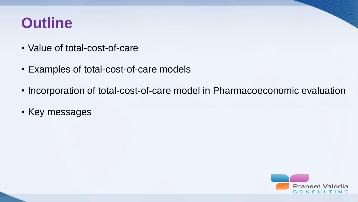### **Outline**

- Value of total-cost-of-care
- Examples of total-cost-of-care models
- Incorporation of total-cost-of-care model in Pharmacoeconomic evaluation
- Key messages

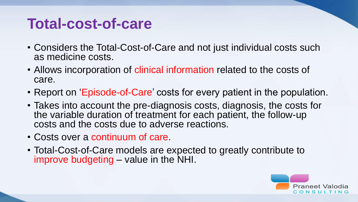#### **Total-cost-of-care**

- Considers the Total-Cost-of-Care and not just individual costs such as medicine costs.
- Allows incorporation of clinical information related to the costs of care.
- Report on 'Episode-of-Care' costs for every patient in the population.
- Takes into account the pre-diagnosis costs, diagnosis, the costs for the variable duration of treatment for each patient, the follow-up costs and the costs due to adverse reactions.
- Costs over a continuum of care.
- Total-Cost-of-Care models are expected to greatly contribute to improve budgeting – value in the NHI.

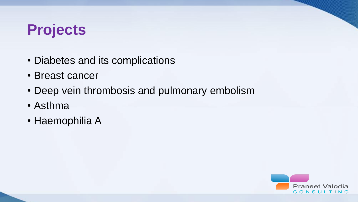# **Projects**

- Diabetes and its complications
- Breast cancer
- Deep vein thrombosis and pulmonary embolism
- Asthma
- Haemophilia A

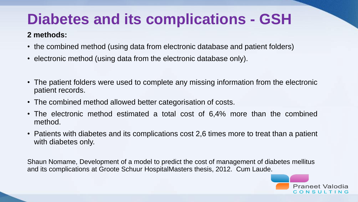# **Diabetes and its complications - GSH**

#### **2 methods:**

- the combined method (using data from electronic database and patient folders)
- electronic method (using data from the electronic database only).
- The patient folders were used to complete any missing information from the electronic patient records.
- The combined method allowed better categorisation of costs.
- The electronic method estimated a total cost of 6,4% more than the combined method.
- Patients with diabetes and its complications cost 2,6 times more to treat than a patient with diabetes only.

Shaun Nomame, Development of a model to predict the cost of management of diabetes mellitus and its complications at Groote Schuur HospitalMasters thesis, 2012. Cum Laude.

> **Praneet Valodia** CONSULTING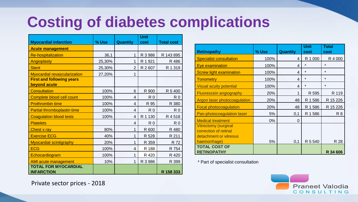# **Costing of diabetes complications**

|                                     |        |                 | <b>Unit</b>    |                   |
|-------------------------------------|--------|-----------------|----------------|-------------------|
| <b>Myocardial infarction</b>        | % Use  | <b>Quantity</b> | cost           | <b>Total cost</b> |
| <b>Acute management</b>             |        |                 |                |                   |
| <b>Re-hospitalization</b>           | 36,1   | 1               | R 3 986        | R 143 895         |
| Angioplasty                         | 25,30% | 1               | R 1 921        | R 486             |
| <b>Stent</b>                        | 25,30% | $\overline{2}$  | R 2 607        | R 1 319           |
| <b>Myocardial revascularization</b> | 27,20% | 1               |                |                   |
| <b>First and following years</b>    |        |                 |                |                   |
| beyond acute                        |        |                 |                |                   |
| <b>Consultation</b>                 | 100%   | 6               | R 900          | R 5 400           |
| Complete blood cell count           | 100%   | 4               | R <sub>0</sub> | R <sub>0</sub>    |
| <b>Prothrombin time</b>             | 100%   | 4               | R 95           | R 380             |
| Partial thromboplastin time         | 100%   | 4               | R <sub>0</sub> | R <sub>0</sub>    |
| <b>Coagulation blood tests</b>      | 100%   | 4               | R 1 130        | R 4 518           |
| <b>Platelets</b>                    |        | 4               | R <sub>0</sub> | R <sub>0</sub>    |
| <b>Chest x ray</b>                  | 80%    | 1               | R 600          | R 480             |
| <b>Exercise ECG</b>                 | 40%    | 1               | R 528          | R 211             |
| <b>Myocardial scintigraphy</b>      | 20%    | 1               | R 359          | R 72              |
| <b>ECG</b>                          | 100%   | 4               | R 188          | R 754             |
| Echocardiogram                      | 100%   | 1               | R 420          | R 420             |
| AMI acute management                | 10%    | 1               | R 3 986        | R 399             |
| <b>TOTAL FOR MYOCARDIAL</b>         |        |                 |                |                   |
| <b>INFARCTION</b>                   |        |                 |                | R 158 333         |

|                                |       |                 | <b>Unit</b> | <b>Total</b> |
|--------------------------------|-------|-----------------|-------------|--------------|
| <b>Retinopathy</b>             | % Use | <b>Quantity</b> | cost        | cost         |
| <b>Specialist consultation</b> | 100%  | 4               | R 1 000     | R 4 000      |
| <b>Eye examination</b>         | 100%  | 4               | $\star$     | $\star$      |
| <b>Screw light examination</b> | 100%  | 4               | $\star$     | $\star$      |
| <b>Tonometry</b>               | 100%  | 4               | $\star$     | $\star$      |
| <b>Visual acuity potential</b> | 100%  | 4               | $\star$     | $\star$      |
| <b>Fluorescein angiography</b> | 20%   | 1               | R 595       | R 119        |
| Argon laser photocoagulation   | 20%   | 48              | R 1 586     | R 15 226     |
| <b>Focal photocoagulation</b>  | 20%   | 48              | R 1 586     | R 15 226     |
| Pan-photocoagulation laser     | 5%    | 0,1             | R 1 586     | R 8          |
| <b>Medical treatment</b>       | 0%    | $\Omega$        |             |              |
| <b>Vitrectomy (surgical</b>    |       |                 |             |              |
| correction of retinal          |       |                 |             |              |
| detachment or vitreous         |       |                 |             |              |
| haemorrhage)                   | 5%    | 0,1             | R 5 540     | R 28         |
| <b>TOTAL COST OF</b>           |       |                 |             |              |
| <b>RETINOPATHY</b>             |       |                 |             | R 34 606     |

\* Part of specialist consultation



Private sector prices - 2018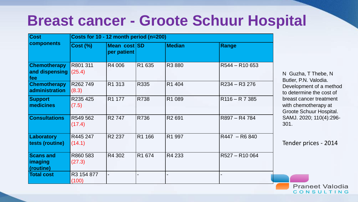#### **Breast cancer - Groote Schuur Hospital**

| <b>Cost</b>                                  | Costs for 10 - 12 month period (n=200) |                             |             |                    |                |  |
|----------------------------------------------|----------------------------------------|-----------------------------|-------------|--------------------|----------------|--|
| <b>components</b>                            | <b>Cost (%)</b>                        | Mean cost SD<br>per patient |             | <b>Median</b>      | Range          |  |
| <b>Chemotherapy</b><br>and dispensing<br>fee | R801 311<br>(25.4)                     | R4 006                      | R1 635      | R3 880             | R544 - R10 653 |  |
| <b>Chemotherapy</b><br>administration        | R262749<br>(8.3)                       | R1 313                      | R335        | R1 404             | R234 - R3 276  |  |
| <b>Support</b><br>medicines                  | R235 425<br>(7.5)                      | R <sub>1</sub> 177          | <b>R738</b> | R1 089             | $R116 - R7385$ |  |
| <b>Consultations</b>                         | R549 562<br>(17.4)                     | R <sub>2</sub> 747          | R736        | R <sub>2</sub> 691 | R897 - R4 784  |  |
| Laboratory<br>tests (routine)                | R445 247<br>(14.1)                     | R <sub>2</sub> 237          | R1 166      | R1 997             | R447 - R6 840  |  |
| <b>Scans and</b><br>imaging<br>(routine)     | R860 583<br>(27.3)                     | R4 302                      | R1 674      | R4 233             | R527 - R10 064 |  |
| <b>Total cost</b>                            | R3 154 877<br>(100)                    |                             |             |                    |                |  |

N Guzha, T Thebe, N Butler, P.N. Valodia. Development of a method to determine the cost of breast cancer treatment with chemotherapy at Groote Schuur Hospital. SAMJ. 2020; 110(4):296- 301.

Tender prices - 2014

**Praneet Valodia** CONSULTING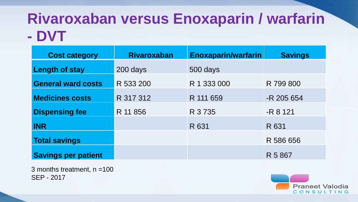### **Rivaroxaban versus Enoxaparin / warfarin - DVT**

| <b>Cost category</b>       | <b>Rivaroxaban</b> | <b>Enoxaparin/warfarin</b> | <b>Savings</b> |
|----------------------------|--------------------|----------------------------|----------------|
| <b>Length of stay</b>      | 200 days           | 500 days                   |                |
| <b>General ward costs</b>  | R 533 200          | R 1 333 000                | R 799 800      |
| Medicines costs            | R 317 312          | R 111 659                  | -R 205 654     |
| <b>Dispensing fee</b>      | R 11 856           | R 3 7 3 5                  | $-R$ 8 121     |
| <b>INR</b>                 |                    | R 631                      | R 631          |
| <b>Total savings</b>       |                    |                            | R 586 656      |
| <b>Savings per patient</b> |                    |                            | R 5 867        |

3 months treatment, n =100 SEP - 2017

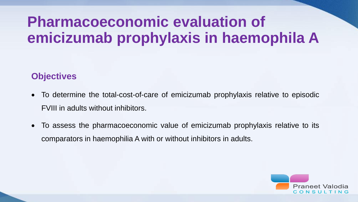# **Pharmacoeconomic evaluation of emicizumab prophylaxis in haemophila A**

#### **Objectives**

- To determine the total-cost-of-care of emicizumab prophylaxis relative to episodic FVIII in adults without inhibitors.
- To assess the pharmacoeconomic value of emicizumab prophylaxis relative to its comparators in haemophilia A with or without inhibitors in adults.

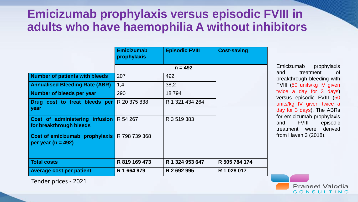#### **Emicizumab prophylaxis versus episodic FVIII in adults who have haemophilia A without inhibitors**

|                                                                           | <b>Emicizumab</b><br>prophylaxis | <b>Episodic FVIII</b> | <b>Cost-saving</b> |
|---------------------------------------------------------------------------|----------------------------------|-----------------------|--------------------|
|                                                                           |                                  | $n = 492$             |                    |
| <b>Number of patients with bleeds</b>                                     | 207                              | 492                   |                    |
| <b>Annualised Bleeding Rate (ABR)</b>                                     | 1,4                              | 38,2                  |                    |
| Number of bleeds per year                                                 | 290                              | 18794                 |                    |
| Drug cost to treat bleeds per<br>year                                     | R 20 375 838                     | R 1 321 434 264       |                    |
| <b>Cost of administering infusion</b> R 54 267<br>for breakthrough bleeds |                                  | R 3 519 383           |                    |
| Cost of emicizumab prophylaxis  <br>per year ( $n = 492$ )                | R 798 739 368                    |                       |                    |
|                                                                           |                                  |                       |                    |
| <b>Total costs</b>                                                        | R 819 169 473                    | R 1 324 953 647       | R 505 784 174      |
| <b>Average cost per patient</b>                                           | R 1 664 979                      | R 2 692 995           | R 1 028 017        |

Emicizumab prophylaxis and treatment of breakthrough bleeding with FVIII (50 units/kg IV given twice a day for 3 days) versus episodic FVIII (50 units/kg IV given twice a day for 3 days). The ABRs for emicizumab prophylaxis and FVIII episodic treatment were derived from Haven 3 (2018).

Tender prices - 2021

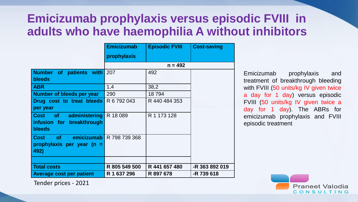#### **Emicizumab prophylaxis versus episodic FVIII in adults who have haemophilia A without inhibitors**

|                                          | <b>Emicizumab</b>               | <b>Episodic FVIII</b> | <b>Cost-saving</b> |
|------------------------------------------|---------------------------------|-----------------------|--------------------|
|                                          | prophylaxis                     |                       |                    |
|                                          |                                 |                       |                    |
| Number of patients with<br><b>bleeds</b> | 207                             | 492                   |                    |
| <b>ABR</b>                               | 1,4                             | 38,2                  |                    |
| Number of bleeds per year                | 290                             | 18794                 |                    |
| Drug cost to treat bleeds   R 6 792 043  |                                 | R 440 484 353         |                    |
| per year                                 |                                 |                       |                    |
| <b>Cost</b><br>of<br>administering       | R 18 089                        | R 1 173 128           |                    |
| infusion for breakthrough                |                                 |                       |                    |
| <b>bleeds</b>                            |                                 |                       |                    |
| <b>Cost</b><br>of                        | <b>emicizumab</b> R 798 739 368 |                       |                    |
| prophylaxis per year (n $=$              |                                 |                       |                    |
| 492)                                     |                                 |                       |                    |
|                                          |                                 |                       |                    |
| <b>Total costs</b>                       | R 805 549 500                   | R 441 657 480         | -R 363 892 019     |
| <b>Average cost per patient</b>          | R 1 637 296                     | R 897 678             | -R 739 618         |

Emicizumab prophylaxis and treatment of breakthrough bleeding with FVIII (50 units/kg IV given twice a day for 1 day) versus episodic FVIII (50 units/kg IV given twice a day for 1 day). The ABRs for emicizumab prophylaxis and FVIII episodic treatment



Tender prices - 2021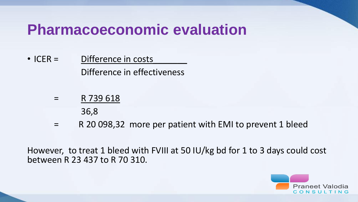#### **Pharmacoeconomic evaluation**

- ICER = Difference in costs Difference in effectiveness
	- = R 739 618

36,8

= R 20 098,32 more per patient with EMI to prevent 1 bleed

However, to treat 1 bleed with FVIII at 50 IU/kg bd for 1 to 3 days could cost between R 23 437 to R 70 310.